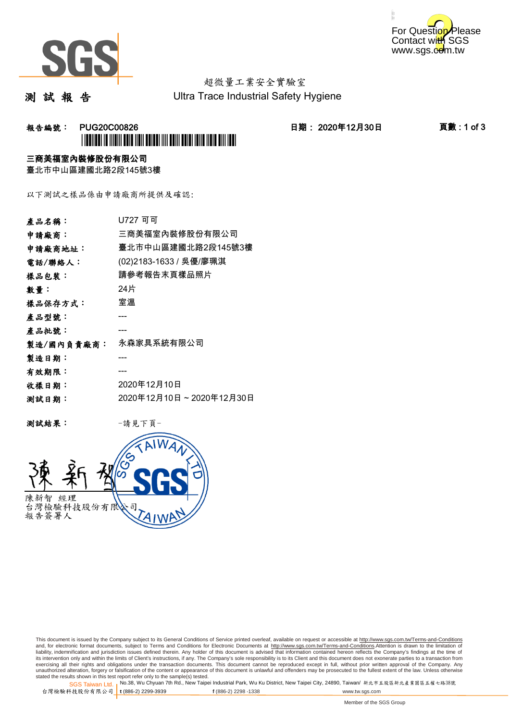



# 超微量工業安全實驗室

測 試 報 告

Ultra Trace Industrial Safety Hygiene

### 報告編號: PUG20C00826 日期: 2020年12月30日 頁數 : 1 of 3 \*PUG20C00826\*

#### 三商美福室內裝修股份有限公司

臺北市中山區建國北路2段145號3樓

以下測試之樣品係由申請廠商所提供及確認:

| 產品名稱:      | U727 व वा               |
|------------|-------------------------|
| 申請廠商:      | 三商美福室內裝修股份有限公司          |
| 申請廠商地址:    | 臺北市中山區建國北路2段145號3樓      |
| 電話/聯絡人:    | (02)2183-1633 / 吳優/廖珮淇  |
| 樣品包裝:      | 請參考報告末頁樣品照片             |
| 數量:        | 24片                     |
| 樣品保存方式:    | 室溫                      |
| 產品型號:      |                         |
| 產品批號:      |                         |
| 製造/國內負責廠商: | 永森家具系統有限公司              |
| 製造日期:      |                         |
| 有效期限:      |                         |
| 收樣日期:      | 2020年12月10日             |
| 测試日期:      | 2020年12月10日~2020年12月30日 |
|            |                         |

测試結果: 一請見下頁



This document is issued by the Company subject to its General Conditions of Service printed overleaf, available on request or accessible at http://www.sgs.com.tw/Terms-and-Conditions and, for electronic format documents, subject to Terms and Conditions for Electronic Documents at <u>http://www.sgs.com.tw/Terms-and-Conditions</u>.Attention is drawn to the limitation of<br>liability, indemnification and jurisdic exercising all their rights and obligations under the transaction documents. This document cannot be reproduced except in full, without prior written approval of the Company. Any<br>unauthorized alteration, forgery or falsifi

SGS Taiwan Ltd. 1 stated the results shown in this test report refer only to the sample(s) tested.<br>Stated the results shown in this test report refer only to the sample(s) tested.

台灣檢驗科技股份有限公司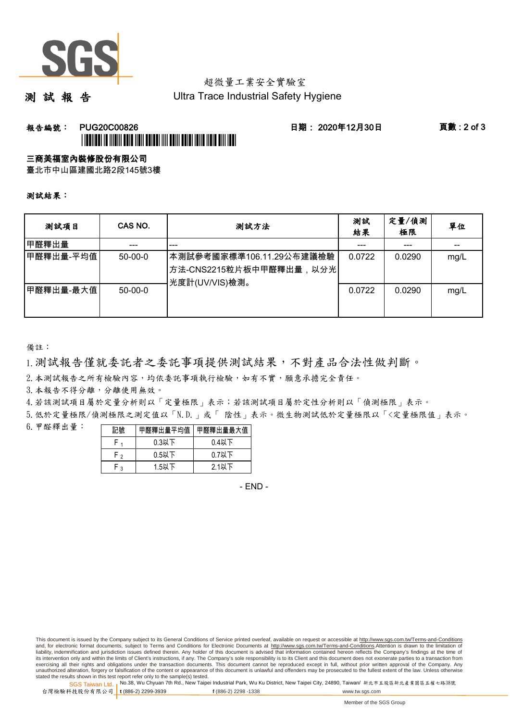

## 超微量工業安全實驗室

測 試 報 告

Ultra Trace Industrial Safety Hygiene

### **報告編號: PUG20C00826 日期: 2020年12月30日 頁數:2 of 3** \*PUG20C00826\*

#### 三商美福室內裝修股份有限公司

臺北市中山區建國北路2段145號3樓

測試結果:

| 测試項目      | CAS NO.   | 測試方法                                                                  | 測試<br>結果 | 定量/偵測<br>極限 | 單位   |
|-----------|-----------|-----------------------------------------------------------------------|----------|-------------|------|
| 甲醛釋出量     |           | ---                                                                   |          | ---         |      |
| 甲醛釋出量-平均值 | $50-00-0$ | 本測試參考國家標準106.11.29公布建議檢驗<br>方法-CNS2215粒片板中甲醛釋出量,以分光<br>光度計(UV/VIS)檢測。 | 0.0722   | 0.0290      | mg/L |
| 甲醛釋出量-最大值 | $50-00-0$ |                                                                       | 0.0722   | 0.0290      | mg/L |

備註:

1.測試報告僅就委託者之委託事項提供測試結果,不對產品合法性做判斷。

2.本測試報告之所有檢驗內容,均依委託事項執行檢驗,如有不實,願意承擔完全責任。

3. 本報告不得分離,分離使用無效。

4.若該測試項目屬於定量分析則以「定量極限」表示;若該測試項目屬於定性分析則以「偵測極限」表示。

5.低於定量極限/偵測極限之測定值以「N.D.」或「 陰性」表示。微生物測試低於定量極限以「<定量極限值」表示。

6.甲醛釋出量:

|              | 醛釋出量平均值丨 | 甲醛釋出量最大值 |  |  |
|--------------|----------|----------|--|--|
|              | $0.3$ 以下 | $0.4$ 以下 |  |  |
| Γ٥           | $0.5$ 以下 | $0.7$ 以下 |  |  |
| $\mathbf{r}$ | $1.5$ 以下 | $2.1$ 以下 |  |  |

- END -

This document is issued by the Company subject to its General Conditions of Service printed overleaf, available on request or accessible at http://www.sgs.com.tw/Terms-and-Conditions and, for electronic format documents, subject to Terms and Conditions for Electronic Documents at http://www.sgs.com.tw/Terms-and-Conditions.Attention is drawn to the limitation of liability, indemnification and jurisdiction issues defined therein. Any holder of this document is advised that information contained hereon reflects the Company's findings at the time of<br>its intervention only and within t exercising all their rights and obligations under the transaction documents. This document cannot be reproduced except in full, without prior written approval of the Company. Any<br>unauthorized alteration, forgery or falsifi

SGS Taiwan Ltd. 1 stated the results shown in this test report refer only to the sample(s) tested.<br>Stated the results shown in this test report refer only to the sample(s) tested.

台灣檢驗科技股份有限公司

**t** (886-2) 2299-3939 **f** (886-2) 2298 -1338 www.tw.sgs.com